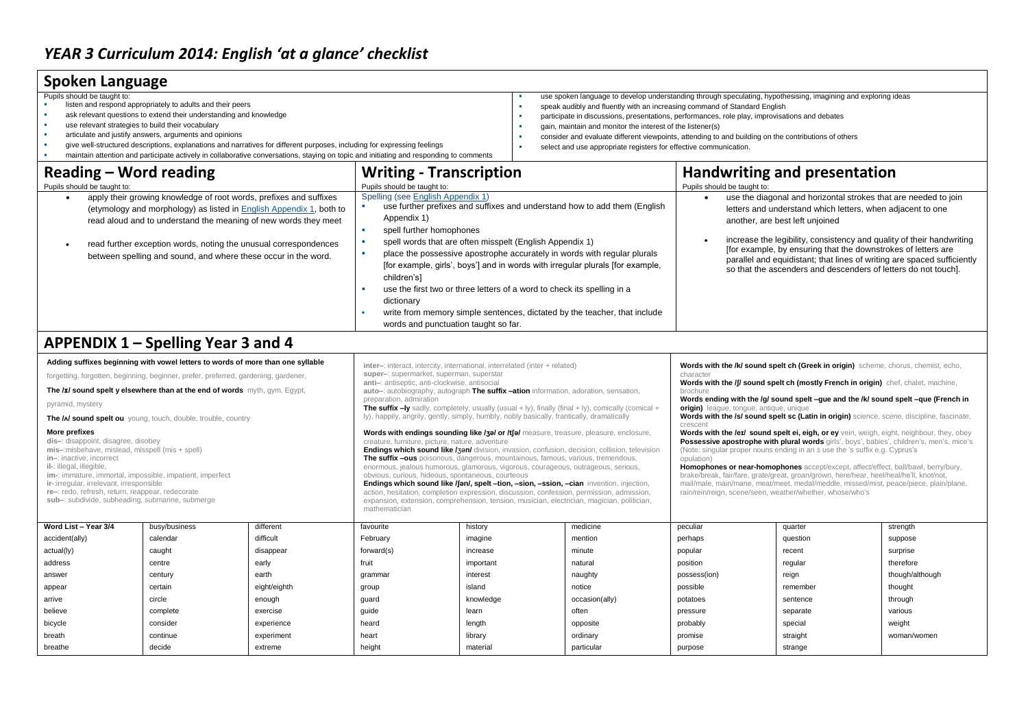## **Spoken Language**

| <b>SPUNCII LAIIRUARC</b>                                                                                                                                                                                                                                                                                                                                   |                                                                                                                                                                                                                                                                                          |                                                                                                                                                                                                                                                                                                                      |                                                                                                                                                                                                                                                                                                                                                                                                                                                         |  |  |  |
|------------------------------------------------------------------------------------------------------------------------------------------------------------------------------------------------------------------------------------------------------------------------------------------------------------------------------------------------------------|------------------------------------------------------------------------------------------------------------------------------------------------------------------------------------------------------------------------------------------------------------------------------------------|----------------------------------------------------------------------------------------------------------------------------------------------------------------------------------------------------------------------------------------------------------------------------------------------------------------------|---------------------------------------------------------------------------------------------------------------------------------------------------------------------------------------------------------------------------------------------------------------------------------------------------------------------------------------------------------------------------------------------------------------------------------------------------------|--|--|--|
| Pupils should be taught to:                                                                                                                                                                                                                                                                                                                                |                                                                                                                                                                                                                                                                                          | use spoken language to develop understanding through speculating, hypothesising, imagining and exploring ideas                                                                                                                                                                                                       |                                                                                                                                                                                                                                                                                                                                                                                                                                                         |  |  |  |
| listen and respond appropriately to adults and their peers                                                                                                                                                                                                                                                                                                 |                                                                                                                                                                                                                                                                                          | speak audibly and fluently with an increasing command of Standard English                                                                                                                                                                                                                                            |                                                                                                                                                                                                                                                                                                                                                                                                                                                         |  |  |  |
| ask relevant questions to extend their understanding and knowledge                                                                                                                                                                                                                                                                                         |                                                                                                                                                                                                                                                                                          | participate in discussions, presentations, performances, role play, improvisations and debates                                                                                                                                                                                                                       |                                                                                                                                                                                                                                                                                                                                                                                                                                                         |  |  |  |
| use relevant strategies to build their vocabulary                                                                                                                                                                                                                                                                                                          |                                                                                                                                                                                                                                                                                          | gain, maintain and monitor the interest of the listener(s)                                                                                                                                                                                                                                                           |                                                                                                                                                                                                                                                                                                                                                                                                                                                         |  |  |  |
| articulate and justify answers, arguments and opinions                                                                                                                                                                                                                                                                                                     |                                                                                                                                                                                                                                                                                          | consider and evaluate different viewpoints, attending to and building on the contributions of others                                                                                                                                                                                                                 |                                                                                                                                                                                                                                                                                                                                                                                                                                                         |  |  |  |
| give well-structured descriptions, explanations and narratives for different purposes, including for expressing feelings                                                                                                                                                                                                                                   |                                                                                                                                                                                                                                                                                          | select and use appropriate registers for effective communication.                                                                                                                                                                                                                                                    |                                                                                                                                                                                                                                                                                                                                                                                                                                                         |  |  |  |
| maintain attention and participate actively in collaborative conversations, staying on topic and initiating and responding to comments                                                                                                                                                                                                                     |                                                                                                                                                                                                                                                                                          |                                                                                                                                                                                                                                                                                                                      |                                                                                                                                                                                                                                                                                                                                                                                                                                                         |  |  |  |
| Reading – Word reading                                                                                                                                                                                                                                                                                                                                     | <b>Writing - Transcription</b>                                                                                                                                                                                                                                                           |                                                                                                                                                                                                                                                                                                                      | <b>Handwriting and presentation</b>                                                                                                                                                                                                                                                                                                                                                                                                                     |  |  |  |
| Pupils should be taught to:                                                                                                                                                                                                                                                                                                                                | Pupils should be taught to:                                                                                                                                                                                                                                                              |                                                                                                                                                                                                                                                                                                                      | Pupils should be taught to:                                                                                                                                                                                                                                                                                                                                                                                                                             |  |  |  |
| apply their growing knowledge of root words, prefixes and suffixes<br>(etymology and morphology) as listed in <b>English Appendix 1</b> , both to<br>read aloud and to understand the meaning of new words they meet<br>read further exception words, noting the unusual correspondences<br>between spelling and sound, and where these occur in the word. | Spelling (see English Appendix 1)<br>Appendix 1)<br>spell further homophones<br>spell words that are often misspelt (English Appendix 1)<br>children's]<br>use the first two or three letters of a word to check its spelling in a<br>dictionary<br>words and punctuation taught so far. | use further prefixes and suffixes and understand how to add them (English<br>place the possessive apostrophe accurately in words with regular plurals<br>[for example, girls', boys'] and in words with irregular plurals [for example,<br>write from memory simple sentences, dictated by the teacher, that include | use the diagonal and horizontal strokes that are needed to join<br>letters and understand which letters, when adjacent to one<br>another, are best left unjoined<br>increase the legibility, consistency and quality of their handwriting<br>ffor example, by ensuring that the downstrokes of letters are<br>parallel and equidistant; that lines of writing are spaced sufficiently<br>so that the ascenders and descenders of letters do not touch]. |  |  |  |

## **APPENDIX 1 – Spelling Year 3 and 4**

| Adding suffixes beginning with vowel letters to words of more than one syllable                                                                                                                                                                                                                                                                                                  |               |                                                                                                                                                                                                                                                                                                                                                                                                                                                                                                                                                                                                                                                                                                                                                                                       |                                                                                           | inter-: interact, intercity, international, interrelated (inter + related) |                                                                                                                                                                                                                                                                                                                                                                                                                                                                                                                                                                                                                                        | Words with the /k/ sound spelt ch (Greek in origin) scheme, chorus, chemist, echo,              |          |                 |
|----------------------------------------------------------------------------------------------------------------------------------------------------------------------------------------------------------------------------------------------------------------------------------------------------------------------------------------------------------------------------------|---------------|---------------------------------------------------------------------------------------------------------------------------------------------------------------------------------------------------------------------------------------------------------------------------------------------------------------------------------------------------------------------------------------------------------------------------------------------------------------------------------------------------------------------------------------------------------------------------------------------------------------------------------------------------------------------------------------------------------------------------------------------------------------------------------------|-------------------------------------------------------------------------------------------|----------------------------------------------------------------------------|----------------------------------------------------------------------------------------------------------------------------------------------------------------------------------------------------------------------------------------------------------------------------------------------------------------------------------------------------------------------------------------------------------------------------------------------------------------------------------------------------------------------------------------------------------------------------------------------------------------------------------------|-------------------------------------------------------------------------------------------------|----------|-----------------|
| forgetting, forgotten, beginning, beginner, prefer, preferred, gardening, gardener,                                                                                                                                                                                                                                                                                              |               |                                                                                                                                                                                                                                                                                                                                                                                                                                                                                                                                                                                                                                                                                                                                                                                       | super-: supermarket, superman, superstar<br>anti-: antiseptic, anti-clockwise, antisocial |                                                                            |                                                                                                                                                                                                                                                                                                                                                                                                                                                                                                                                                                                                                                        | character<br>Words with the /f/ sound spelt ch (mostly French in origin) chef, chalet, machine, |          |                 |
| The /x/ sound spelt y elsewhere than at the end of words myth, gym, Egypt,                                                                                                                                                                                                                                                                                                       |               | auto-: autobiography, autograph The suffix -ation information, adoration, sensation,                                                                                                                                                                                                                                                                                                                                                                                                                                                                                                                                                                                                                                                                                                  |                                                                                           |                                                                            | brochure                                                                                                                                                                                                                                                                                                                                                                                                                                                                                                                                                                                                                               |                                                                                                 |          |                 |
| pyramid, mystery                                                                                                                                                                                                                                                                                                                                                                 |               | preparation, admiration<br><b>The suffix -ly</b> sadly, completely, usually (usual + ly), finally (final + ly), comically (comical +                                                                                                                                                                                                                                                                                                                                                                                                                                                                                                                                                                                                                                                  |                                                                                           |                                                                            | Words ending with the /g/ sound spelt -gue and the /k/ sound spelt -que (French in<br>origin) league, tonque, antique, unique                                                                                                                                                                                                                                                                                                                                                                                                                                                                                                          |                                                                                                 |          |                 |
| The /N sound spelt ou young, touch, double, trouble, country                                                                                                                                                                                                                                                                                                                     |               |                                                                                                                                                                                                                                                                                                                                                                                                                                                                                                                                                                                                                                                                                                                                                                                       | ly), happily, angrily, gently, simply, humbly, nobly basically, frantically, dramatically |                                                                            |                                                                                                                                                                                                                                                                                                                                                                                                                                                                                                                                                                                                                                        | Words with the /s/ sound spelt sc (Latin in origin) science, scene, discipline, fascinate,      |          |                 |
| More prefixes<br>dis-: disappoint, disagree, disobey<br>mis-:misbehave, mislead, misspell (mis + spell)<br>in-: inactive, incorrect<br>il-: illegal, illegible,<br>im-: immature, immortal, impossible, impatient, imperfect<br>ir-:irregular, irrelevant, irresponsible<br>re-: redo, refresh, return, reappear, redecorate<br>sub-: subdivide, subheading, submarine, submerge |               | Words with endings sounding like /3ə/ or /t[ə/ measure, treasure, pleasure, enclosure,<br>creature, furniture, picture, nature, adventure<br><b>Endings which sound like /3an/</b> division, invasion, confusion, decision, collision, television<br>The suffix -ous poisonous, dangerous, mountainous, famous, various, tremendous,<br>enormous, jealous humorous, glamorous, vigorous, courageous, outrageous, serious,<br>obvious, curious, hideous, spontaneous, courteous<br>Endings which sound like /fan/, spelt -tion, -sion, -ssion, -cian invention, injection,<br>action, hesitation, completion expression, discussion, confession, permission, admission,<br>expansion, extension, comprehension, tension, musician, electrician, magician, politician,<br>mathematician |                                                                                           |                                                                            | crescent<br>Words with the /eɪ/ sound spelt ei, eigh, or ey vein, weigh, eight, neighbour, they, obey<br>Possessive apostrophe with plural words girls', boys', babies', children's, men's, mice's<br>(Note: singular proper nouns ending in an s use the 's suffix e.g. Cyprus's<br>opulation)<br>Homophones or near-homophones accept/except, affect/effect, ball/bawl, berry/bury,<br>brake/break, fair/fare, grate/great, groan/grown, here/hear, heel/heal/he'll, knot/not,<br>mail/male, main/mane, meat/meet, medal/meddle, missed/mist, peace/piece, plain/plane,<br>rain/rein/reign, scene/seen, weather/whether, whose/who's |                                                                                                 |          |                 |
| Word List - Year 3/4                                                                                                                                                                                                                                                                                                                                                             | busy/business | different                                                                                                                                                                                                                                                                                                                                                                                                                                                                                                                                                                                                                                                                                                                                                                             | favourite                                                                                 | history                                                                    | medicine                                                                                                                                                                                                                                                                                                                                                                                                                                                                                                                                                                                                                               | peculiar                                                                                        | quarter  | strength        |
| accident(ally)                                                                                                                                                                                                                                                                                                                                                                   | calendar      | difficult                                                                                                                                                                                                                                                                                                                                                                                                                                                                                                                                                                                                                                                                                                                                                                             | February                                                                                  | imagine                                                                    | mention                                                                                                                                                                                                                                                                                                                                                                                                                                                                                                                                                                                                                                | perhaps                                                                                         | auestion | suppose         |
| actual(ly)                                                                                                                                                                                                                                                                                                                                                                       | caught        | disappear                                                                                                                                                                                                                                                                                                                                                                                                                                                                                                                                                                                                                                                                                                                                                                             | forward(s)                                                                                | increase                                                                   | minute                                                                                                                                                                                                                                                                                                                                                                                                                                                                                                                                                                                                                                 | popular                                                                                         | recent   | surprise        |
| address                                                                                                                                                                                                                                                                                                                                                                          | centre        | early                                                                                                                                                                                                                                                                                                                                                                                                                                                                                                                                                                                                                                                                                                                                                                                 | fruit                                                                                     | important                                                                  | natural                                                                                                                                                                                                                                                                                                                                                                                                                                                                                                                                                                                                                                | position                                                                                        | regular  | therefore       |
| answer                                                                                                                                                                                                                                                                                                                                                                           | century       | earth                                                                                                                                                                                                                                                                                                                                                                                                                                                                                                                                                                                                                                                                                                                                                                                 | grammar                                                                                   | interest                                                                   | naughty                                                                                                                                                                                                                                                                                                                                                                                                                                                                                                                                                                                                                                | possess(ion)                                                                                    | reign    | though/although |
| appear                                                                                                                                                                                                                                                                                                                                                                           | certain       | eight/eighth                                                                                                                                                                                                                                                                                                                                                                                                                                                                                                                                                                                                                                                                                                                                                                          | group                                                                                     | island                                                                     | notice                                                                                                                                                                                                                                                                                                                                                                                                                                                                                                                                                                                                                                 | possible                                                                                        | remember | thought         |
| arrive                                                                                                                                                                                                                                                                                                                                                                           | circle        | enough                                                                                                                                                                                                                                                                                                                                                                                                                                                                                                                                                                                                                                                                                                                                                                                | quard                                                                                     | knowledge                                                                  | occasion(ally)                                                                                                                                                                                                                                                                                                                                                                                                                                                                                                                                                                                                                         | potatoes                                                                                        | sentence | through         |
| believe                                                                                                                                                                                                                                                                                                                                                                          | complete      | exercise                                                                                                                                                                                                                                                                                                                                                                                                                                                                                                                                                                                                                                                                                                                                                                              | quide                                                                                     | learn                                                                      | often                                                                                                                                                                                                                                                                                                                                                                                                                                                                                                                                                                                                                                  | pressure                                                                                        | separate | various         |
| bicycle                                                                                                                                                                                                                                                                                                                                                                          | consider      | experience                                                                                                                                                                                                                                                                                                                                                                                                                                                                                                                                                                                                                                                                                                                                                                            | heard                                                                                     | lenath                                                                     | opposite                                                                                                                                                                                                                                                                                                                                                                                                                                                                                                                                                                                                                               | probably                                                                                        | special  | weight          |
| breath                                                                                                                                                                                                                                                                                                                                                                           | continue      | experiment                                                                                                                                                                                                                                                                                                                                                                                                                                                                                                                                                                                                                                                                                                                                                                            | heart                                                                                     | library                                                                    | ordinary                                                                                                                                                                                                                                                                                                                                                                                                                                                                                                                                                                                                                               | promise                                                                                         | straight | woman/women     |
| breathe                                                                                                                                                                                                                                                                                                                                                                          | decide        | extreme                                                                                                                                                                                                                                                                                                                                                                                                                                                                                                                                                                                                                                                                                                                                                                               | height                                                                                    | material                                                                   | particular                                                                                                                                                                                                                                                                                                                                                                                                                                                                                                                                                                                                                             | purpose                                                                                         | strange  |                 |